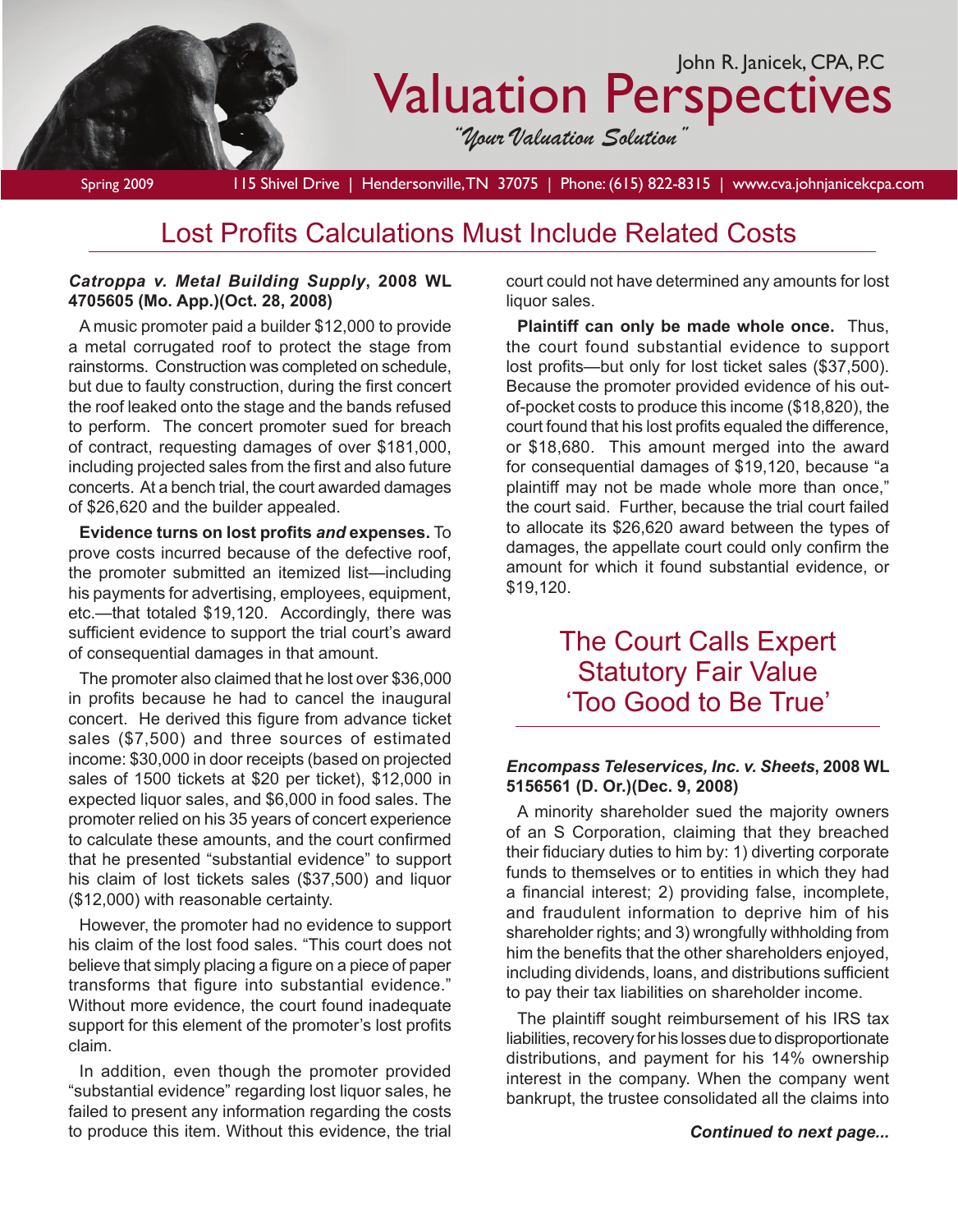

Lost Profits Calculations Must Include Related Costs

### *Catroppa v. Metal Building Supply***, 2008 WL 4705605 (Mo. App.)(Oct. 28, 2008)**

A music promoter paid a builder \$12,000 to provide a metal corrugated roof to protect the stage from rainstorms. Construction was completed on schedule, but due to faulty construction, during the first concert the roof leaked onto the stage and the bands refused to perform. The concert promoter sued for breach of contract, requesting damages of over \$181,000, including projected sales from the first and also future concerts. At a bench trial, the court awarded damages of \$26,620 and the builder appealed.

**Evidence turns on lost profits** *and* **expenses.** To prove costs incurred because of the defective roof, the promoter submitted an itemized list—including his payments for advertising, employees, equipment, etc.—that totaled \$19,120. Accordingly, there was sufficient evidence to support the trial court's award of consequential damages in that amount.

The promoter also claimed that he lost over \$36,000 in profits because he had to cancel the inaugural concert. He derived this figure from advance ticket sales (\$7,500) and three sources of estimated income: \$30,000 in door receipts (based on projected sales of 1500 tickets at \$20 per ticket), \$12,000 in expected liquor sales, and \$6,000 in food sales. The promoter relied on his 35 years of concert experience to calculate these amounts, and the court confirmed that he presented "substantial evidence" to support his claim of lost tickets sales (\$37,500) and liquor (\$12,000) with reasonable certainty.

However, the promoter had no evidence to support his claim of the lost food sales. "This court does not believe that simply placing a figure on a piece of paper transforms that figure into substantial evidence." Without more evidence, the court found inadequate support for this element of the promoter's lost profits claim.

In addition, even though the promoter provided "substantial evidence" regarding lost liquor sales, he failed to present any information regarding the costs to produce this item. Without this evidence, the trial

court could not have determined any amounts for lost liquor sales.

**Plaintiff can only be made whole once.** Thus, the court found substantial evidence to support lost profits—but only for lost ticket sales (\$37,500). Because the promoter provided evidence of his outof-pocket costs to produce this income (\$18,820), the court found that his lost profits equaled the difference, or \$18,680. This amount merged into the award for consequential damages of \$19,120, because "a plaintiff may not be made whole more than once," the court said. Further, because the trial court failed to allocate its \$26,620 award between the types of damages, the appellate court could only confirm the amount for which it found substantial evidence, or \$19,120.

# The Court Calls Expert **Statutory Fair Value** 'Too Good to Be True'

## *Encompass Teleservices, Inc. v. Sheets***, 2008 WL 5156561 (D. Or.)(Dec. 9, 2008)**

A minority shareholder sued the majority owners of an S Corporation, claiming that they breached their fiduciary duties to him by: 1) diverting corporate funds to themselves or to entities in which they had a financial interest; 2) providing false, incomplete, and fraudulent information to deprive him of his shareholder rights; and 3) wrongfully withholding from him the benefits that the other shareholders enjoyed, including dividends, loans, and distributions sufficient to pay their tax liabilities on shareholder income.

The plaintiff sought reimbursement of his IRS tax liabilities, recovery for his losses due to disproportionate distributions, and payment for his 14% ownership interest in the company. When the company went bankrupt, the trustee consolidated all the claims into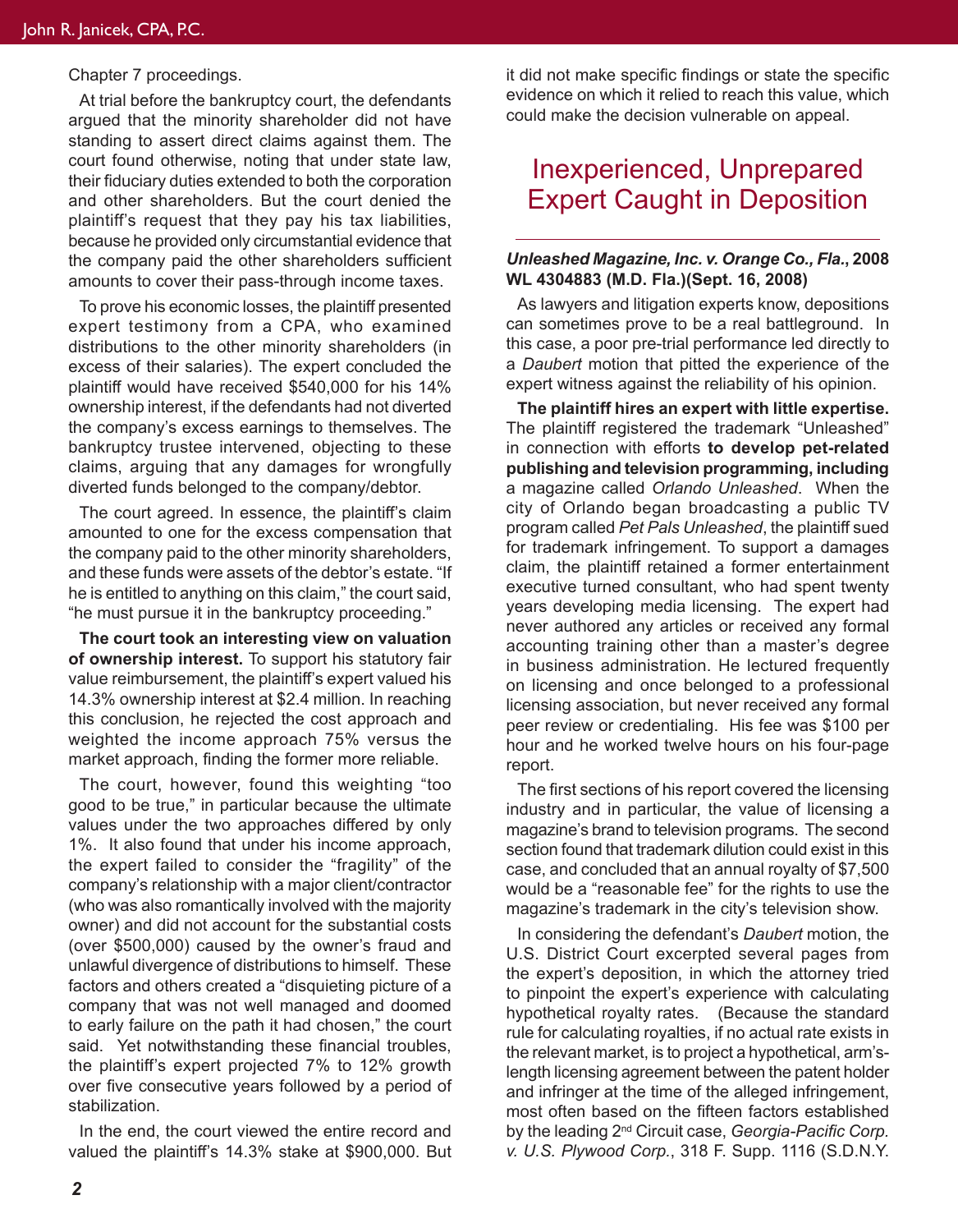Chapter 7 proceedings.

At trial before the bankruptcy court, the defendants argued that the minority shareholder did not have standing to assert direct claims against them. The court found otherwise, noting that under state law, their fiduciary duties extended to both the corporation and other shareholders. But the court denied the plaintiff's request that they pay his tax liabilities, because he provided only circumstantial evidence that the company paid the other shareholders sufficient amounts to cover their pass-through income taxes.

To prove his economic losses, the plaintiff presented expert testimony from a CPA, who examined distributions to the other minority shareholders (in excess of their salaries). The expert concluded the plaintiff would have received \$540,000 for his 14% ownership interest, if the defendants had not diverted the company's excess earnings to themselves. The bankruptcy trustee intervened, objecting to these claims, arguing that any damages for wrongfully diverted funds belonged to the company/debtor.

The court agreed. In essence, the plaintiff's claim amounted to one for the excess compensation that the company paid to the other minority shareholders, and these funds were assets of the debtor's estate. "If he is entitled to anything on this claim," the court said, "he must pursue it in the bankruptcy proceeding."

**The court took an interesting view on valuation of ownership interest.** To support his statutory fair value reimbursement, the plaintiff's expert valued his 14.3% ownership interest at \$2.4 million. In reaching this conclusion, he rejected the cost approach and weighted the income approach 75% versus the market approach, finding the former more reliable.

The court, however, found this weighting "too good to be true," in particular because the ultimate values under the two approaches differed by only 1%. It also found that under his income approach, the expert failed to consider the "fragility" of the company's relationship with a major client/contractor (who was also romantically involved with the majority owner) and did not account for the substantial costs (over \$500,000) caused by the owner's fraud and unlawful divergence of distributions to himself. These factors and others created a "disquieting picture of a company that was not well managed and doomed to early failure on the path it had chosen," the court said. Yet notwithstanding these financial troubles, the plaintiff's expert projected 7% to 12% growth over five consecutive years followed by a period of stabilization.

In the end, the court viewed the entire record and valued the plaintiff's 14.3% stake at \$900,000. But it did not make specific findings or state the specific evidence on which it relied to reach this value, which could make the decision vulnerable on appeal.

# Inexperienced, Unprepared Expert Caught in Deposition

## *Unleashed Magazine, Inc. v. Orange Co., Fla.***, 2008 WL 4304883 (M.D. Fla.)(Sept. 16, 2008)**

As lawyers and litigation experts know, depositions can sometimes prove to be a real battleground. In this case, a poor pre-trial performance led directly to a *Daubert* motion that pitted the experience of the expert witness against the reliability of his opinion.

**The plaintiff hires an expert with little expertise.**  The plaintiff registered the trademark "Unleashed" in connection with efforts **to develop pet-related publishing and television programming, including**  a magazine called *Orlando Unleashed*. When the city of Orlando began broadcasting a public TV program called *Pet Pals Unleashed*, the plaintiff sued for trademark infringement. To support a damages claim, the plaintiff retained a former entertainment executive turned consultant, who had spent twenty years developing media licensing. The expert had never authored any articles or received any formal accounting training other than a master's degree in business administration. He lectured frequently on licensing and once belonged to a professional licensing association, but never received any formal peer review or credentialing. His fee was \$100 per hour and he worked twelve hours on his four-page report.

The first sections of his report covered the licensing industry and in particular, the value of licensing a magazine's brand to television programs. The second section found that trademark dilution could exist in this case, and concluded that an annual royalty of \$7,500 would be a "reasonable fee" for the rights to use the magazine's trademark in the city's television show.

In considering the defendant's *Daubert* motion, the U.S. District Court excerpted several pages from the expert's deposition, in which the attorney tried to pinpoint the expert's experience with calculating hypothetical royalty rates. (Because the standard rule for calculating royalties, if no actual rate exists in the relevant market, is to project a hypothetical, arm'slength licensing agreement between the patent holder and infringer at the time of the alleged infringement, most often based on the fifteen factors established by the leading 2nd Circuit case, *Georgia-Pacific Corp. v. U.S. Plywood Corp.*, 318 F. Supp. 1116 (S.D.N.Y.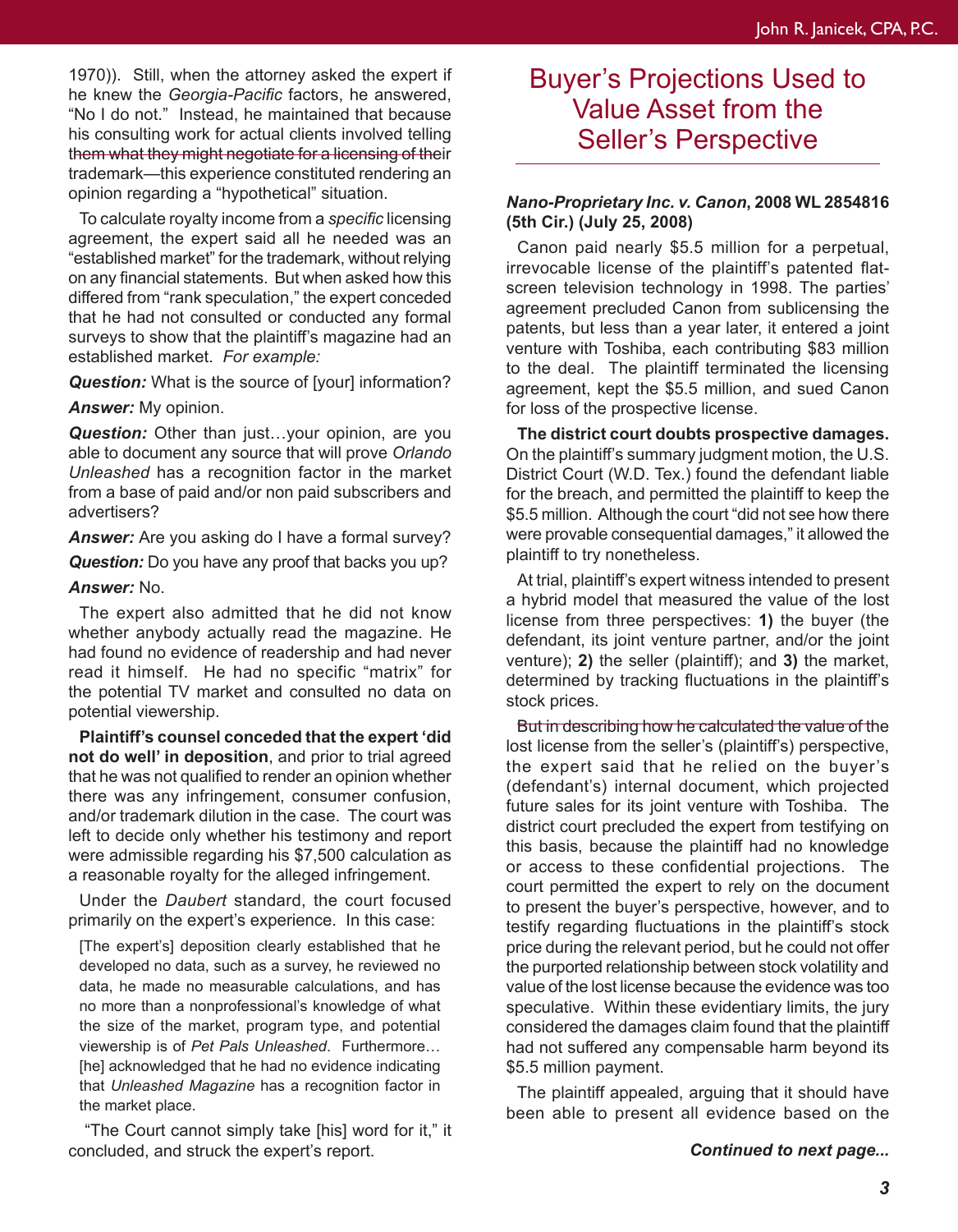1970)). Still, when the attorney asked the expert if he knew the *Georgia-Pacific* factors, he answered, "No I do not." Instead, he maintained that because his consulting work for actual clients involved telling them what they might negotiate for a licensing of their trademark—this experience constituted rendering an opinion regarding a "hypothetical" situation.

To calculate royalty income from a *specific* licensing agreement, the expert said all he needed was an "established market" for the trademark, without relying on any financial statements. But when asked how this differed from "rank speculation," the expert conceded that he had not consulted or conducted any formal surveys to show that the plaintiff's magazine had an established market. *For example:*

**Question:** What is the source of [your] information?

#### *Answer:* My opinion.

*Question:* Other than just…your opinion, are you able to document any source that will prove *Orlando Unleashed* has a recognition factor in the market from a base of paid and/or non paid subscribers and advertisers?

**Answer:** Are you asking do I have a formal survey?

*Question:* Do you have any proof that backs you up?

#### *Answer:* No.

The expert also admitted that he did not know whether anybody actually read the magazine. He had found no evidence of readership and had never read it himself. He had no specific "matrix" for the potential TV market and consulted no data on potential viewership.

**Plaintiff's counsel conceded that the expert 'did not do well' in deposition**, and prior to trial agreed that he was not qualified to render an opinion whether there was any infringement, consumer confusion, and/or trademark dilution in the case. The court was left to decide only whether his testimony and report were admissible regarding his \$7,500 calculation as a reasonable royalty for the alleged infringement.

Under the *Daubert* standard, the court focused primarily on the expert's experience. In this case:

[The expert's] deposition clearly established that he developed no data, such as a survey, he reviewed no data, he made no measurable calculations, and has no more than a nonprofessional's knowledge of what the size of the market, program type, and potential viewership is of *Pet Pals Unleashed*. Furthermore… [he] acknowledged that he had no evidence indicating that *Unleashed Magazine* has a recognition factor in the market place.

"The Court cannot simply take [his] word for it," it concluded, and struck the expert's report.

## Buyer's Projections Used to Value Asset from the Seller's Perspective

## *Nano-Proprietary Inc. v. Canon***, 2008 WL 2854816 (5th Cir.) (July 25, 2008)**

Canon paid nearly \$5.5 million for a perpetual, irrevocable license of the plaintiff's patented flatscreen television technology in 1998. The parties' agreement precluded Canon from sublicensing the patents, but less than a year later, it entered a joint venture with Toshiba, each contributing \$83 million to the deal. The plaintiff terminated the licensing agreement, kept the \$5.5 million, and sued Canon for loss of the prospective license.

**The district court doubts prospective damages.** On the plaintiff's summary judgment motion, the U.S. District Court (W.D. Tex.) found the defendant liable for the breach, and permitted the plaintiff to keep the \$5.5 million. Although the court "did not see how there were provable consequential damages," it allowed the plaintiff to try nonetheless.

At trial, plaintiff's expert witness intended to present a hybrid model that measured the value of the lost license from three perspectives: **1)** the buyer (the defendant, its joint venture partner, and/or the joint venture); **2)** the seller (plaintiff); and **3)** the market, determined by tracking fluctuations in the plaintiff's stock prices.

But in describing how he calculated the value of the lost license from the seller's (plaintiff's) perspective, the expert said that he relied on the buyer's (defendant's) internal document, which projected future sales for its joint venture with Toshiba. The district court precluded the expert from testifying on this basis, because the plaintiff had no knowledge or access to these confidential projections. The court permitted the expert to rely on the document to present the buyer's perspective, however, and to testify regarding fluctuations in the plaintiff's stock price during the relevant period, but he could not offer the purported relationship between stock volatility and value of the lost license because the evidence was too speculative. Within these evidentiary limits, the jury considered the damages claim found that the plaintiff had not suffered any compensable harm beyond its \$5.5 million payment.

The plaintiff appealed, arguing that it should have been able to present all evidence based on the

*Continued to next page...*